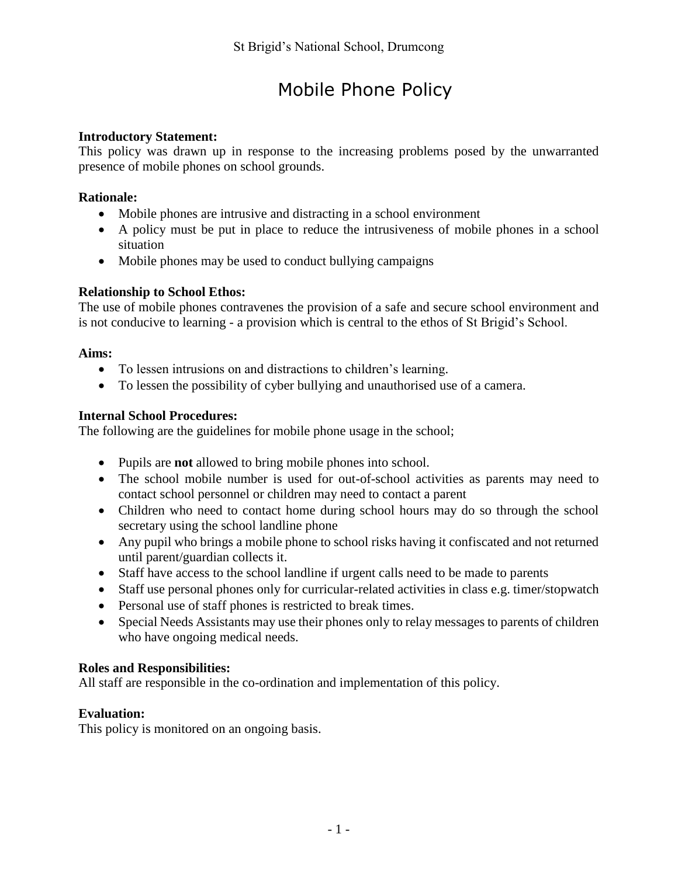# Mobile Phone Policy

## **Introductory Statement:**

This policy was drawn up in response to the increasing problems posed by the unwarranted presence of mobile phones on school grounds.

## **Rationale:**

- Mobile phones are intrusive and distracting in a school environment
- A policy must be put in place to reduce the intrusiveness of mobile phones in a school situation
- Mobile phones may be used to conduct bullying campaigns

## **Relationship to School Ethos:**

The use of mobile phones contravenes the provision of a safe and secure school environment and is not conducive to learning - a provision which is central to the ethos of St Brigid's School.

## **Aims:**

- To lessen intrusions on and distractions to children's learning.
- To lessen the possibility of cyber bullying and unauthorised use of a camera.

## **Internal School Procedures:**

The following are the guidelines for mobile phone usage in the school;

- Pupils are **not** allowed to bring mobile phones into school.
- The school mobile number is used for out-of-school activities as parents may need to contact school personnel or children may need to contact a parent
- Children who need to contact home during school hours may do so through the school secretary using the school landline phone
- Any pupil who brings a mobile phone to school risks having it confiscated and not returned until parent/guardian collects it.
- Staff have access to the school landline if urgent calls need to be made to parents
- Staff use personal phones only for curricular-related activities in class e.g. timer/stopwatch
- Personal use of staff phones is restricted to break times.
- Special Needs Assistants may use their phones only to relay messages to parents of children who have ongoing medical needs.

## **Roles and Responsibilities:**

All staff are responsible in the co-ordination and implementation of this policy.

## **Evaluation:**

This policy is monitored on an ongoing basis.